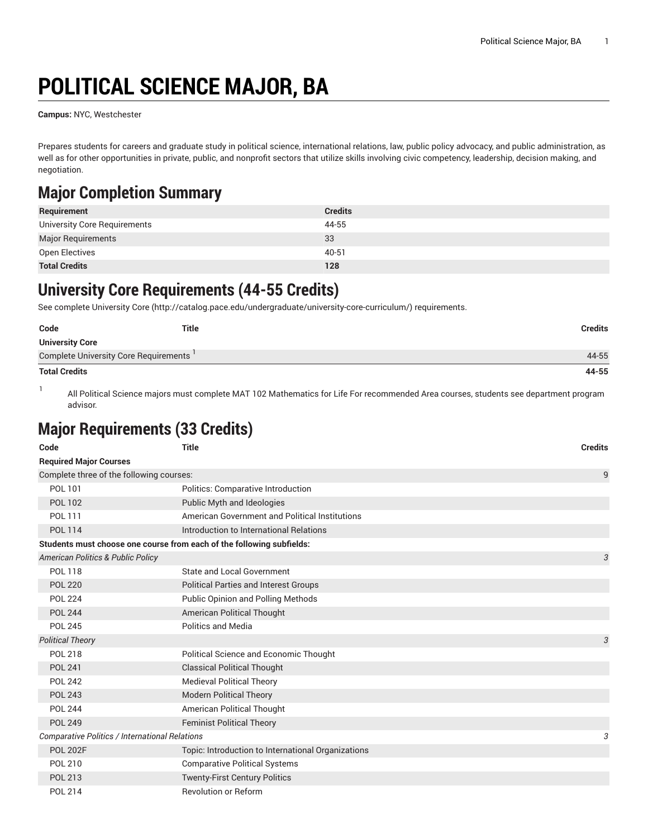# **POLITICAL SCIENCE MAJOR, BA**

**Campus:** NYC, Westchester

Prepares students for careers and graduate study in political science, international relations, law, public policy advocacy, and public administration, as well as for other opportunities in private, public, and nonprofit sectors that utilize skills involving civic competency, leadership, decision making, and negotiation.

### **Major Completion Summary**

| Requirement                  | <b>Credits</b> |
|------------------------------|----------------|
| University Core Requirements | 44-55          |
| Major Requirements           | 33             |
| Open Electives               | 40-51          |
| <b>Total Credits</b>         | 128            |

### **University Core Requirements (44-55 Credits)**

See complete [University](http://catalog.pace.edu/undergraduate/university-core-curriculum/) Core (<http://catalog.pace.edu/undergraduate/university-core-curriculum/>) requirements.

| Code                                  | <b>Title</b> | Credits |
|---------------------------------------|--------------|---------|
| <b>University Core</b>                |              |         |
| Complete University Core Requirements |              | 44-55   |
| <b>Total Credits</b>                  |              | 44-55   |

1

All Political Science majors must complete MAT 102 Mathematics for Life For recommended Area courses, students see department program advisor.

### **Major Requirements (33 Credits)**

| Code                                                                  | <b>Title</b>                                       | <b>Credits</b> |
|-----------------------------------------------------------------------|----------------------------------------------------|----------------|
| <b>Required Major Courses</b>                                         |                                                    |                |
| Complete three of the following courses:                              |                                                    | 9              |
| POL 101                                                               | Politics: Comparative Introduction                 |                |
| <b>POL 102</b>                                                        | Public Myth and Ideologies                         |                |
| POL 111                                                               | American Government and Political Institutions     |                |
| <b>POL 114</b>                                                        | Introduction to International Relations            |                |
| Students must choose one course from each of the following subfields: |                                                    |                |
| American Politics & Public Policy                                     |                                                    | 3              |
| <b>POL 118</b>                                                        | State and Local Government                         |                |
| <b>POL 220</b>                                                        | <b>Political Parties and Interest Groups</b>       |                |
| <b>POL 224</b>                                                        | <b>Public Opinion and Polling Methods</b>          |                |
| <b>POL 244</b>                                                        | American Political Thought                         |                |
| <b>POL 245</b>                                                        | <b>Politics and Media</b>                          |                |
| <b>Political Theory</b>                                               |                                                    | 3              |
| <b>POL 218</b>                                                        | Political Science and Economic Thought             |                |
| <b>POL 241</b>                                                        | <b>Classical Political Thought</b>                 |                |
| <b>POL 242</b>                                                        | <b>Medieval Political Theory</b>                   |                |
| <b>POL 243</b>                                                        | <b>Modern Political Theory</b>                     |                |
| <b>POL 244</b>                                                        | American Political Thought                         |                |
| <b>POL 249</b>                                                        | <b>Feminist Political Theory</b>                   |                |
| Comparative Politics / International Relations                        |                                                    | 3              |
| <b>POL 202F</b>                                                       | Topic: Introduction to International Organizations |                |
| <b>POL 210</b>                                                        | <b>Comparative Political Systems</b>               |                |
| POL 213                                                               | <b>Twenty-First Century Politics</b>               |                |
| <b>POL 214</b>                                                        | <b>Revolution or Reform</b>                        |                |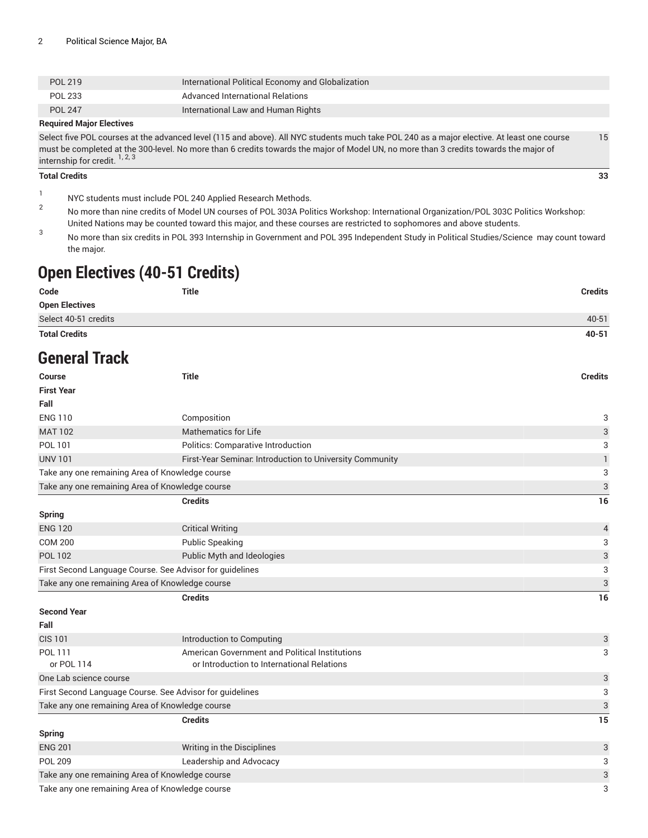| POL 219        | International Political Economy and Globalization |
|----------------|---------------------------------------------------|
| POL 233        | Advanced International Relations                  |
| <b>POL 247</b> | International Law and Human Rights                |
| _ _ .          |                                                   |

#### **Required Major Electives**

Select five POL courses at the advanced level (115 and above). All NYC students much take POL 240 as a major elective. At least one course must be completed at the 300-level. No more than 6 credits towards the major of Model UN, no more than 3 credits towards the major of internship for credit.<sup>1, 2, 3</sup> 15

#### **Total Credits 33**

1 NYC students must include POL 240 Applied Research Methods.

- 2 No more than nine credits of Model UN courses of POL 303A Politics Workshop: International Organization/POL 303C Politics Workshop: United Nations may be counted toward this major, and these courses are restricted to sophomores and above students.
- 3 No more than six credits in POL 393 Internship in Government and POL 395 Independent Study in Political Studies/Science may count toward the major.

### **Open Electives (40-51 Credits)**

| Code                  | Title | <b>Credits</b> |
|-----------------------|-------|----------------|
| <b>Open Electives</b> |       |                |
| Select 40-51 credits  |       | $40 - 51$      |
| <b>Total Credits</b>  |       | 40-51          |

### **General Track**

| <b>Course</b>                                            | <b>Title</b>                                             | <b>Credits</b>            |
|----------------------------------------------------------|----------------------------------------------------------|---------------------------|
| <b>First Year</b>                                        |                                                          |                           |
| Fall                                                     |                                                          |                           |
| <b>ENG 110</b>                                           | Composition                                              | 3                         |
| <b>MAT 102</b>                                           | <b>Mathematics for Life</b>                              | $\ensuremath{\mathsf{3}}$ |
| POL 101                                                  | Politics: Comparative Introduction                       | 3                         |
| <b>UNV 101</b>                                           | First-Year Seminar. Introduction to University Community | 1                         |
|                                                          | Take any one remaining Area of Knowledge course          | 3                         |
|                                                          | Take any one remaining Area of Knowledge course          | 3                         |
|                                                          | <b>Credits</b>                                           | 16                        |
| <b>Spring</b>                                            |                                                          |                           |
| <b>ENG 120</b>                                           | <b>Critical Writing</b>                                  | 4                         |
| <b>COM 200</b>                                           | <b>Public Speaking</b>                                   | 3                         |
| <b>POL 102</b>                                           | Public Myth and Ideologies                               | 3                         |
| First Second Language Course. See Advisor for guidelines |                                                          | $\sqrt{3}$                |
|                                                          | Take any one remaining Area of Knowledge course          | 3                         |
|                                                          | <b>Credits</b>                                           | 16                        |
| <b>Second Year</b>                                       |                                                          |                           |
| Fall                                                     |                                                          |                           |
| <b>CIS 101</b>                                           | Introduction to Computing                                | 3                         |
| POL 111                                                  | American Government and Political Institutions           | 3                         |
| or POL 114                                               | or Introduction to International Relations               |                           |
| One Lab science course                                   |                                                          | 3                         |
|                                                          | First Second Language Course. See Advisor for guidelines | 3                         |
|                                                          | Take any one remaining Area of Knowledge course          | 3                         |
|                                                          | <b>Credits</b>                                           | 15                        |
| <b>Spring</b>                                            |                                                          |                           |
| <b>ENG 201</b>                                           | Writing in the Disciplines                               | 3                         |
| <b>POL 209</b>                                           | Leadership and Advocacy                                  | 3                         |
|                                                          | Take any one remaining Area of Knowledge course          | 3                         |
|                                                          | Take any one remaining Area of Knowledge course          | 3                         |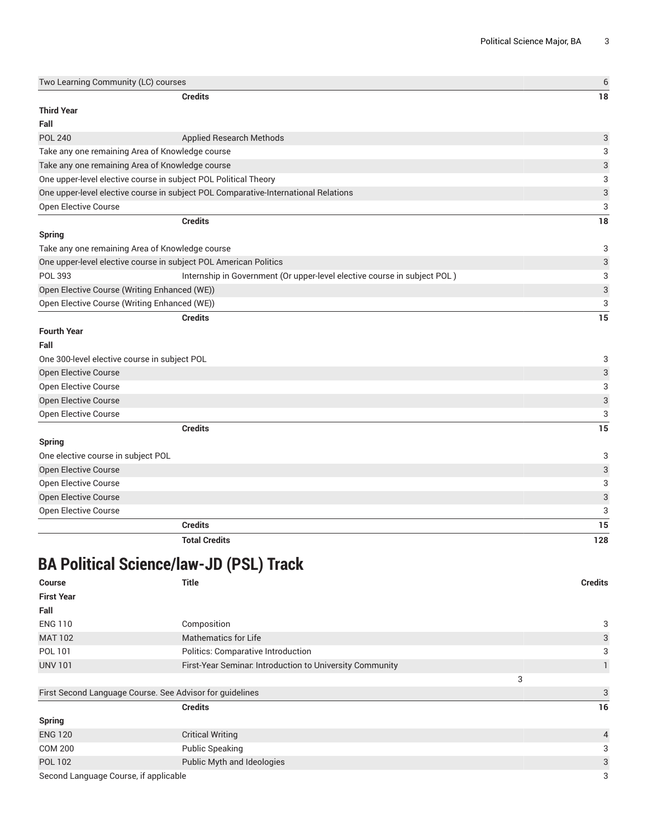| Two Learning Community (LC) courses             |                                                                                    | $\boldsymbol{6}$          |
|-------------------------------------------------|------------------------------------------------------------------------------------|---------------------------|
|                                                 | <b>Credits</b>                                                                     | 18                        |
| <b>Third Year</b>                               |                                                                                    |                           |
| Fall                                            |                                                                                    |                           |
| <b>POL 240</b>                                  | Applied Research Methods                                                           | 3                         |
| Take any one remaining Area of Knowledge course |                                                                                    | 3                         |
| Take any one remaining Area of Knowledge course |                                                                                    | 3                         |
|                                                 | One upper-level elective course in subject POL Political Theory                    | 3                         |
|                                                 | One upper-level elective course in subject POL Comparative-International Relations | $\sqrt{3}$                |
| Open Elective Course                            |                                                                                    | 3                         |
|                                                 | <b>Credits</b>                                                                     | 18                        |
| <b>Spring</b>                                   |                                                                                    |                           |
| Take any one remaining Area of Knowledge course |                                                                                    | 3                         |
|                                                 | One upper-level elective course in subject POL American Politics                   | $\ensuremath{\mathsf{3}}$ |
| POL 393                                         | Internship in Government (Or upper-level elective course in subject POL)           | 3                         |
| Open Elective Course (Writing Enhanced (WE))    |                                                                                    | $\mathbf{3}$              |
| Open Elective Course (Writing Enhanced (WE))    |                                                                                    | 3                         |
|                                                 | <b>Credits</b>                                                                     | 15                        |
| <b>Fourth Year</b>                              |                                                                                    |                           |
| Fall                                            |                                                                                    |                           |
| One 300-level elective course in subject POL    |                                                                                    | 3                         |
| Open Elective Course                            |                                                                                    | 3                         |
| Open Elective Course                            |                                                                                    | 3                         |
| <b>Open Elective Course</b>                     |                                                                                    | $\sqrt{3}$                |
| Open Elective Course                            |                                                                                    | 3                         |
|                                                 | <b>Credits</b>                                                                     | 15                        |
| <b>Spring</b>                                   |                                                                                    |                           |
| One elective course in subject POL              |                                                                                    | 3                         |
| Open Elective Course                            |                                                                                    | $\ensuremath{\mathsf{3}}$ |
| Open Elective Course                            |                                                                                    | 3                         |
| <b>Open Elective Course</b>                     |                                                                                    | $\ensuremath{\mathsf{3}}$ |
| Open Elective Course                            |                                                                                    | 3                         |
|                                                 | <b>Credits</b>                                                                     | 15                        |
|                                                 | <b>Total Credits</b>                                                               | 128                       |

# **BA Political Science/law-JD (PSL) Track**

| <b>Course</b>     | Title                                                    |   | <b>Credits</b> |
|-------------------|----------------------------------------------------------|---|----------------|
| <b>First Year</b> |                                                          |   |                |
| Fall              |                                                          |   |                |
| <b>ENG 110</b>    | Composition                                              |   | 3              |
| <b>MAT 102</b>    | <b>Mathematics for Life</b>                              |   | 3              |
| POL 101           | Politics: Comparative Introduction                       |   | 3              |
| <b>UNV 101</b>    | First-Year Seminar. Introduction to University Community |   |                |
|                   |                                                          | 3 |                |
|                   | First Second Language Course, See Advisor for quidolines |   | $\mathbf{r}$   |

| First Second Language Course. See Advisor for quidelines |                            |                |
|----------------------------------------------------------|----------------------------|----------------|
|                                                          | <b>Credits</b>             | 16             |
| <b>Spring</b>                                            |                            |                |
| <b>ENG 120</b>                                           | <b>Critical Writing</b>    | $\overline{4}$ |
| <b>COM 200</b>                                           | <b>Public Speaking</b>     | 3              |
| <b>POL 102</b>                                           | Public Myth and Ideologies | 3              |
| Second Language Course, if applicable                    |                            | 3              |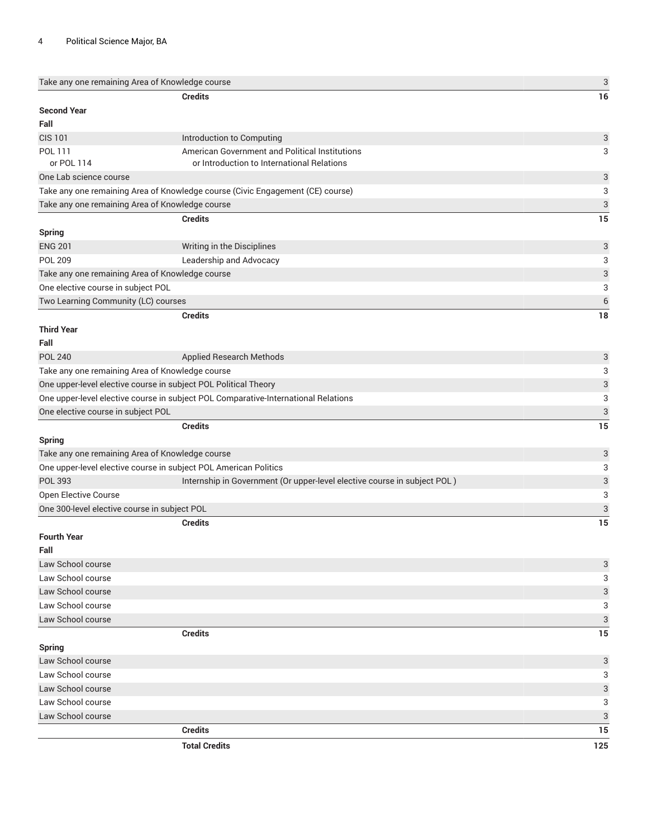| Take any one remaining Area of Knowledge course |                                                                                    | $\mathbf{3}$              |
|-------------------------------------------------|------------------------------------------------------------------------------------|---------------------------|
|                                                 | <b>Credits</b>                                                                     | 16                        |
| <b>Second Year</b>                              |                                                                                    |                           |
| Fall                                            |                                                                                    |                           |
| <b>CIS 101</b>                                  | Introduction to Computing                                                          | 3                         |
| POL 111                                         | American Government and Political Institutions                                     | 3                         |
| or POL 114                                      | or Introduction to International Relations                                         |                           |
| One Lab science course                          |                                                                                    | 3                         |
|                                                 | Take any one remaining Area of Knowledge course (Civic Engagement (CE) course)     | 3                         |
| Take any one remaining Area of Knowledge course |                                                                                    | $\ensuremath{\mathsf{3}}$ |
|                                                 | <b>Credits</b>                                                                     | 15                        |
| <b>Spring</b>                                   |                                                                                    |                           |
| <b>ENG 201</b>                                  | Writing in the Disciplines                                                         | 3                         |
| <b>POL 209</b>                                  | Leadership and Advocacy                                                            | 3                         |
| Take any one remaining Area of Knowledge course |                                                                                    | 3                         |
| One elective course in subject POL              |                                                                                    | 3                         |
| Two Learning Community (LC) courses             |                                                                                    | 6                         |
|                                                 | <b>Credits</b>                                                                     | 18                        |
| <b>Third Year</b>                               |                                                                                    |                           |
| Fall                                            |                                                                                    |                           |
| <b>POL 240</b>                                  | <b>Applied Research Methods</b>                                                    | 3                         |
| Take any one remaining Area of Knowledge course |                                                                                    | 3                         |
|                                                 | One upper-level elective course in subject POL Political Theory                    | 3                         |
|                                                 | One upper-level elective course in subject POL Comparative-International Relations | 3                         |
| One elective course in subject POL              |                                                                                    | 3                         |
|                                                 | <b>Credits</b>                                                                     | 15                        |
| <b>Spring</b>                                   |                                                                                    |                           |
| Take any one remaining Area of Knowledge course |                                                                                    | 3                         |
|                                                 | One upper-level elective course in subject POL American Politics                   | 3                         |
| <b>POL 393</b>                                  | Internship in Government (Or upper-level elective course in subject POL)           | 3                         |
| Open Elective Course                            |                                                                                    | 3                         |
| One 300-level elective course in subject POL    |                                                                                    | 3                         |
|                                                 | <b>Credits</b>                                                                     | 15                        |
| <b>Fourth Year</b>                              |                                                                                    |                           |
| Fall                                            |                                                                                    |                           |
| Law School course                               |                                                                                    | 3                         |
| Law School course                               |                                                                                    | 3                         |
| Law School course                               |                                                                                    | 3                         |
| Law School course                               |                                                                                    | 3                         |
| Law School course                               |                                                                                    | 3                         |
|                                                 | <b>Credits</b>                                                                     | 15                        |
| <b>Spring</b>                                   |                                                                                    |                           |
| Law School course                               |                                                                                    | 3                         |
| Law School course                               |                                                                                    | 3                         |
| Law School course                               |                                                                                    | 3                         |
| Law School course                               |                                                                                    | 3                         |
| Law School course                               |                                                                                    | 3                         |
|                                                 | <b>Credits</b>                                                                     | 15                        |
|                                                 | <b>Total Credits</b>                                                               | 125                       |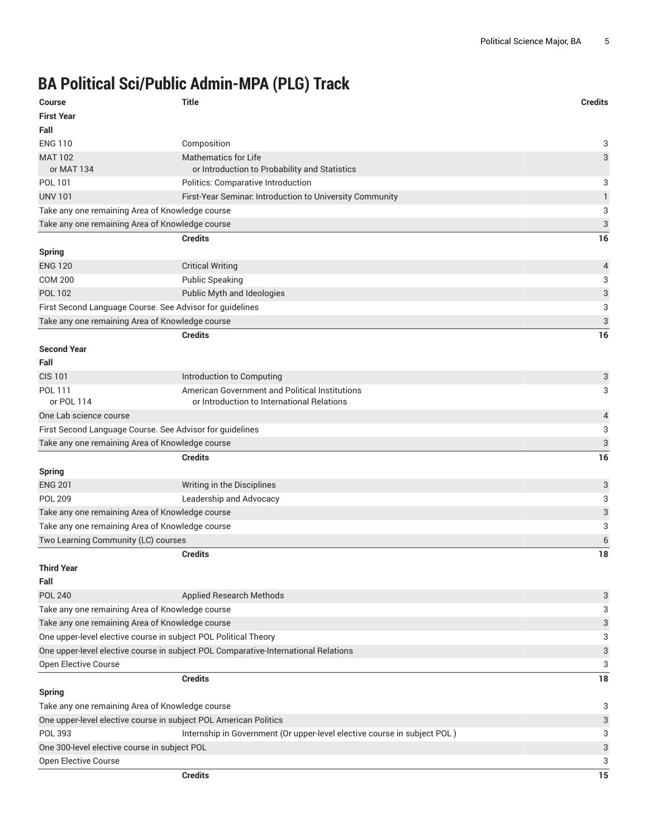# **BA Political Sci/Public Admin-MPA (PLG) Track**

| <b>Course</b><br><b>First Year</b>              | <b>Title</b>                                                                       | <b>Credits</b> |
|-------------------------------------------------|------------------------------------------------------------------------------------|----------------|
| Fall                                            |                                                                                    |                |
| <b>ENG 110</b>                                  | Composition                                                                        | 3              |
| <b>MAT 102</b><br>or MAT 134                    | Mathematics for Life<br>or Introduction to Probability and Statistics              | 3              |
| POL 101                                         | Politics: Comparative Introduction                                                 | 3              |
| <b>UNV 101</b>                                  | First-Year Seminar. Introduction to University Community                           | 1              |
| Take any one remaining Area of Knowledge course |                                                                                    | 3              |
| Take any one remaining Area of Knowledge course |                                                                                    | 3              |
|                                                 | <b>Credits</b>                                                                     | 16             |
| <b>Spring</b>                                   |                                                                                    |                |
| <b>ENG 120</b>                                  | <b>Critical Writing</b>                                                            | 4              |
| <b>COM 200</b>                                  | <b>Public Speaking</b>                                                             | 3              |
| <b>POL 102</b>                                  | Public Myth and Ideologies                                                         | 3              |
|                                                 | First Second Language Course. See Advisor for guidelines                           | 3              |
| Take any one remaining Area of Knowledge course |                                                                                    | 3              |
|                                                 | <b>Credits</b>                                                                     | 16             |
| <b>Second Year</b>                              |                                                                                    |                |
| Fall                                            |                                                                                    |                |
| <b>CIS 101</b>                                  | Introduction to Computing                                                          | 3              |
| POL 111                                         | American Government and Political Institutions                                     | 3              |
| or POL 114                                      | or Introduction to International Relations                                         |                |
| One Lab science course                          |                                                                                    | 4              |
|                                                 | First Second Language Course. See Advisor for guidelines                           | 3              |
| Take any one remaining Area of Knowledge course |                                                                                    | 3              |
|                                                 | <b>Credits</b>                                                                     | 16             |
| <b>Spring</b>                                   |                                                                                    |                |
| <b>ENG 201</b>                                  | Writing in the Disciplines                                                         | 3              |
| <b>POL 209</b>                                  | Leadership and Advocacy                                                            | 3              |
| Take any one remaining Area of Knowledge course |                                                                                    | 3              |
| Take any one remaining Area of Knowledge course |                                                                                    | 3              |
| Two Learning Community (LC) courses             |                                                                                    | 6              |
|                                                 | <b>Credits</b>                                                                     | 18             |
| <b>Third Year</b>                               |                                                                                    |                |
| Fall                                            |                                                                                    |                |
| <b>POL 240</b>                                  | Applied Research Methods                                                           | 3              |
| Take any one remaining Area of Knowledge course |                                                                                    | 3              |
| Take any one remaining Area of Knowledge course |                                                                                    | 3              |
|                                                 | One upper-level elective course in subject POL Political Theory                    | 3              |
|                                                 | One upper-level elective course in subject POL Comparative-International Relations | 3              |
| Open Elective Course                            |                                                                                    | 3              |
|                                                 | <b>Credits</b>                                                                     | 18             |
| <b>Spring</b>                                   |                                                                                    |                |
| Take any one remaining Area of Knowledge course |                                                                                    | 3              |
|                                                 | One upper-level elective course in subject POL American Politics                   | 3              |
| POL 393                                         | Internship in Government (Or upper-level elective course in subject POL)           | 3              |
| One 300-level elective course in subject POL    |                                                                                    | 3              |
| Open Elective Course                            |                                                                                    | 3              |
|                                                 | <b>Credits</b>                                                                     | 15             |